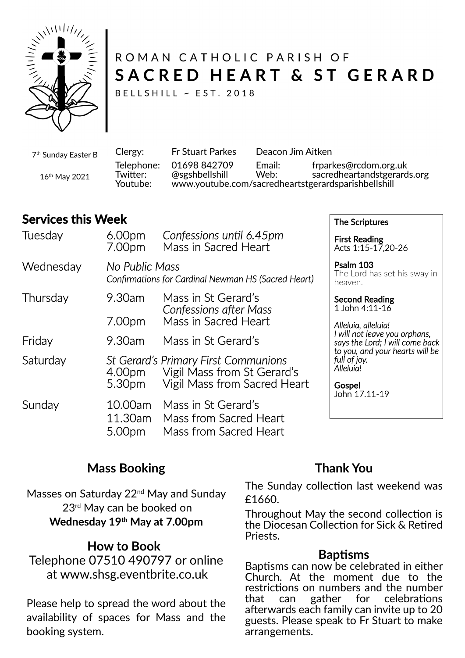

# ROMAN CATHOLIC PARISH OF SACRED HEART & ST GERARD

BELLSHILL ~ EST. 2018

Clergy: Fr Stuart Parkes Deacon Jim Aitken Telephone: 01698 842709 Email: frparkes@rcdom.org.uk Twi�er: @sgshbellshill Web: sacredheartandstgerards.org Youtube: www.youtube.com/sacredheartstgerardsparishbellshill 7 th Sunday Easter B 16th May 2021

# **Services this Week**

| Tuesday   | 6.00 <sub>pm</sub><br>7.00pm                                          | Confessions until 6.45pm<br>Mass in Sacred Heart                                                           | <b>First Reading</b><br>Acts 1:15-17,20-26                                                                                                                                                                                    |
|-----------|-----------------------------------------------------------------------|------------------------------------------------------------------------------------------------------------|-------------------------------------------------------------------------------------------------------------------------------------------------------------------------------------------------------------------------------|
| Wednesday | No Public Mass<br>Confirmations for Cardinal Newman HS (Sacred Heart) |                                                                                                            | Psalm 103<br>The Lord has set his sway in<br>heaven.                                                                                                                                                                          |
| Thursday  | 9.30am<br>7.00pm                                                      | Mass in St Gerard's<br><b>Confessions after Mass</b><br>Mass in Sacred Heart                               | <b>Second Reading</b><br>1 John 4:11-16<br>Alleluia, alleluia!<br>I will not leave you orphans,<br>says the Lord; I will come back<br>to you, and your hearts will be<br>full of joy.<br>Alleluia!<br>Gospel<br>John 17.11-19 |
| Friday    | 9.30am                                                                | Mass in St Gerard's                                                                                        |                                                                                                                                                                                                                               |
| Saturday  | 4.00pm<br>5.30pm                                                      | <b>St Gerard's Primary First Communions</b><br>Vigil Mass from St Gerard's<br>Vigil Mass from Sacred Heart |                                                                                                                                                                                                                               |
| Sunday    | 10.00am<br>11.30am<br>5.00pm                                          | Mass in St Gerard's<br>Mass from Sacred Heart<br>Mass from Sacred Heart                                    |                                                                                                                                                                                                                               |

# **Mass Booking**

Masses on Saturday 22<sup>nd</sup> May and Sunday 23rd May can be booked on **Wednesday 19th May at 7.00pm**

### **How to Book**

Telephone 07510 490797 or online at www.shsg.eventbrite.co.uk

Please help to spread the word about the availability of spaces for Mass and the booking system.

### **Thank You**

The Scriptures

The Sunday collection last weekend was £1660.

Throughout May the second collection is the Diocesan Collection for Sick & Retired Priests.

### **Bap�sms**

Baptisms can now be celebrated in either Church. At the moment due to the restrictions on numbers and the number that can gather for celebrations afterwards each family can invite up to 20 guests. Please speak to Fr Stuart to make arrangements.